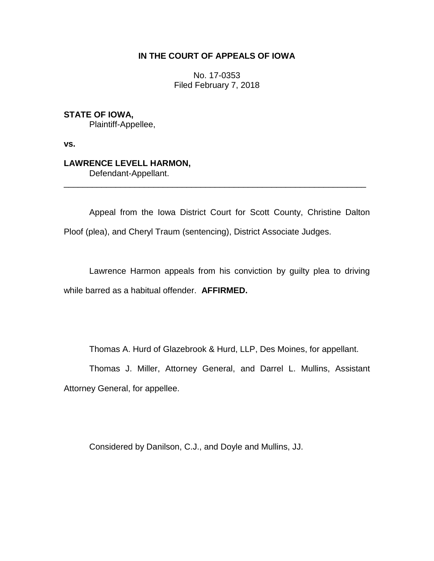## **IN THE COURT OF APPEALS OF IOWA**

No. 17-0353 Filed February 7, 2018

**STATE OF IOWA,** Plaintiff-Appellee,

**vs.**

**LAWRENCE LEVELL HARMON,** Defendant-Appellant.

Appeal from the Iowa District Court for Scott County, Christine Dalton Ploof (plea), and Cheryl Traum (sentencing), District Associate Judges.

\_\_\_\_\_\_\_\_\_\_\_\_\_\_\_\_\_\_\_\_\_\_\_\_\_\_\_\_\_\_\_\_\_\_\_\_\_\_\_\_\_\_\_\_\_\_\_\_\_\_\_\_\_\_\_\_\_\_\_\_\_\_\_\_

Lawrence Harmon appeals from his conviction by guilty plea to driving while barred as a habitual offender. **AFFIRMED.**

Thomas A. Hurd of Glazebrook & Hurd, LLP, Des Moines, for appellant.

Thomas J. Miller, Attorney General, and Darrel L. Mullins, Assistant Attorney General, for appellee.

Considered by Danilson, C.J., and Doyle and Mullins, JJ.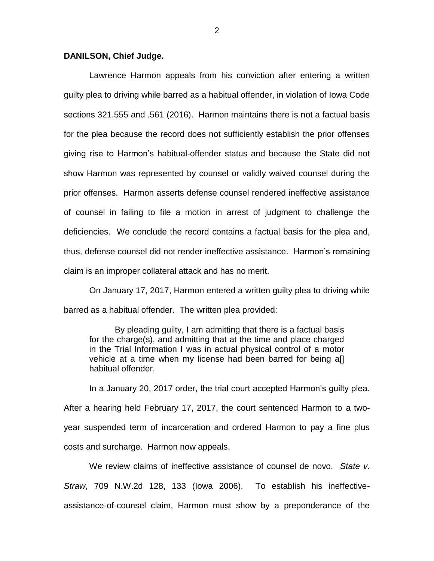## **DANILSON, Chief Judge.**

Lawrence Harmon appeals from his conviction after entering a written guilty plea to driving while barred as a habitual offender, in violation of Iowa Code sections 321.555 and .561 (2016). Harmon maintains there is not a factual basis for the plea because the record does not sufficiently establish the prior offenses giving rise to Harmon's habitual-offender status and because the State did not show Harmon was represented by counsel or validly waived counsel during the prior offenses. Harmon asserts defense counsel rendered ineffective assistance of counsel in failing to file a motion in arrest of judgment to challenge the deficiencies. We conclude the record contains a factual basis for the plea and, thus, defense counsel did not render ineffective assistance. Harmon's remaining claim is an improper collateral attack and has no merit.

On January 17, 2017, Harmon entered a written guilty plea to driving while barred as a habitual offender. The written plea provided:

By pleading guilty, I am admitting that there is a factual basis for the charge(s), and admitting that at the time and place charged in the Trial Information I was in actual physical control of a motor vehicle at a time when my license had been barred for being a[] habitual offender.

In a January 20, 2017 order, the trial court accepted Harmon's guilty plea. After a hearing held February 17, 2017, the court sentenced Harmon to a twoyear suspended term of incarceration and ordered Harmon to pay a fine plus costs and surcharge. Harmon now appeals.

We review claims of ineffective assistance of counsel de novo. *State v. Straw*, 709 N.W.2d 128, 133 (Iowa 2006). To establish his ineffectiveassistance-of-counsel claim, Harmon must show by a preponderance of the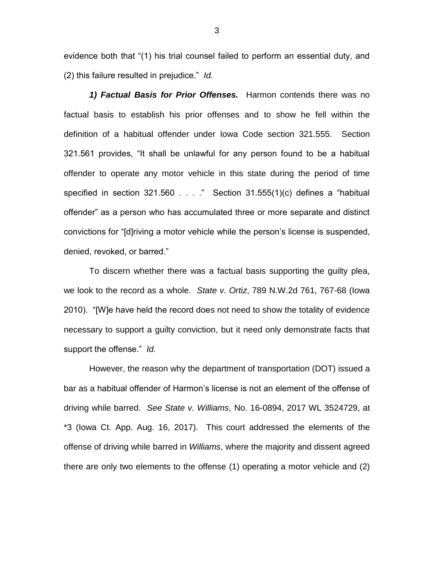evidence both that "(1) his trial counsel failed to perform an essential duty, and (2) this failure resulted in prejudice." *Id.*

*1) Factual Basis for Prior Offenses.* Harmon contends there was no factual basis to establish his prior offenses and to show he fell within the definition of a habitual offender under Iowa Code section 321.555. Section 321.561 provides, "It shall be unlawful for any person found to be a habitual offender to operate any motor vehicle in this state during the period of time specified in section  $321.560...$  . . . ." Section  $31.555(1)(c)$  defines a "habitual offender" as a person who has accumulated three or more separate and distinct convictions for "[d]riving a motor vehicle while the person's license is suspended, denied, revoked, or barred."

To discern whether there was a factual basis supporting the guilty plea, we look to the record as a whole. *State v. Ortiz*, 789 N.W.2d 761, 767-68 (Iowa 2010). "[W]e have held the record does not need to show the totality of evidence necessary to support a guilty conviction, but it need only demonstrate facts that support the offense." *Id.*

However, the reason why the department of transportation (DOT) issued a bar as a habitual offender of Harmon's license is not an element of the offense of driving while barred. *See State v. Williams*, No. 16-0894, 2017 WL 3524729, at \*3 (Iowa Ct. App. Aug. 16, 2017). This court addressed the elements of the offense of driving while barred in *Williams*, where the majority and dissent agreed there are only two elements to the offense (1) operating a motor vehicle and (2)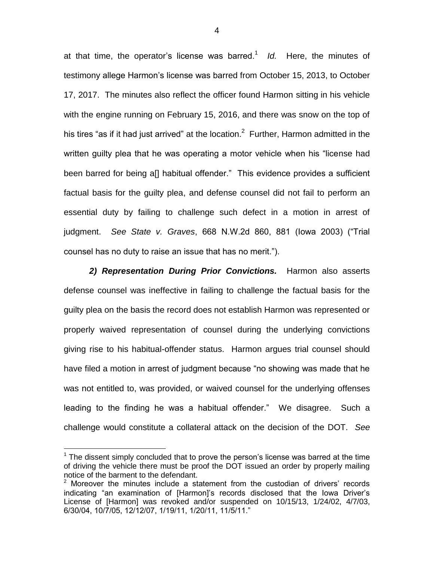at that time, the operator's license was barred.<sup>1</sup> Id. Here, the minutes of testimony allege Harmon's license was barred from October 15, 2013, to October 17, 2017. The minutes also reflect the officer found Harmon sitting in his vehicle with the engine running on February 15, 2016, and there was snow on the top of his tires "as if it had just arrived" at the location.<sup>2</sup> Further, Harmon admitted in the written guilty plea that he was operating a motor vehicle when his "license had been barred for being a[] habitual offender." This evidence provides a sufficient factual basis for the guilty plea, and defense counsel did not fail to perform an essential duty by failing to challenge such defect in a motion in arrest of judgment. *See State v. Graves*, 668 N.W.2d 860, 881 (Iowa 2003) ("Trial counsel has no duty to raise an issue that has no merit.").

*2) Representation During Prior Convictions.* Harmon also asserts defense counsel was ineffective in failing to challenge the factual basis for the guilty plea on the basis the record does not establish Harmon was represented or properly waived representation of counsel during the underlying convictions giving rise to his habitual-offender status. Harmon argues trial counsel should have filed a motion in arrest of judgment because "no showing was made that he was not entitled to, was provided, or waived counsel for the underlying offenses leading to the finding he was a habitual offender." We disagree. Such a challenge would constitute a collateral attack on the decision of the DOT. *See* 

 $\overline{a}$ 

 $1$  The dissent simply concluded that to prove the person's license was barred at the time of driving the vehicle there must be proof the DOT issued an order by properly mailing notice of the barment to the defendant.

 $2$  Moreover the minutes include a statement from the custodian of drivers' records indicating "an examination of [Harmon]'s records disclosed that the Iowa Driver's License of [Harmon] was revoked and/or suspended on 10/15/13, 1/24/02, 4/7/03, 6/30/04, 10/7/05, 12/12/07, 1/19/11, 1/20/11, 11/5/11."